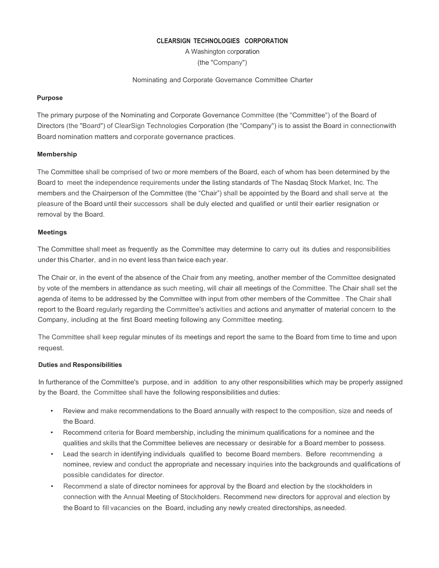#### **CLEARSIGN TECHNOLOGIES CORPORATION**

A Washington corporation (the "Company")

Nominating and Corporate Governance Committee Charter

#### **Purpose**

The primary purpose of the Nominating and Corporate Governance Committee (the "Committee") of the Board of Directors (the "Board") of ClearSign Technologies Corporation (the "Company") is to assist the Board in connectionwith Board nomination matters and corporate governance practices.

# **Membership**

The Committee shall be comprised of two or more members of the Board, each of whom has been determined by the Board to meet the independence requirements under the listing standards of The Nasdaq Stock Market, Inc. The members and the Chairperson of the Committee (the "Chair") shall be appointed by the Board and shall serve at the pleasure of the Board until their successors shall be duly elected and qualified or until their earlier resignation or removal by the Board.

#### **Meetings**

The Committee shall meet as frequently as the Committee may determine to carry out its duties and responsibilities under this Charter, and in no event less than twice each year.

The Chair or, in the event of the absence of the Chair from any meeting, another member of the Committee designated by vote of the members in attendance as such meeting, will chair all meetings of the Committee. The Chair shall set the agenda of items to be addressed by the Committee with input from other members of the Committee . The Chair shall report to the Board regularly regarding the Committee's activities and actions and anymatter of material concern to the Company, including at the first Board meeting following any Committee meeting.

The Committee shall keep regular minutes of its meetings and report the same to the Board from time to time and upon request.

# **Duties and Responsibilities**

In furtherance of the Committee's purpose, and in addition to any other responsibilities which may be properly assigned by the Board, the Committee shall have the following responsibilities and duties:

- Review and make recommendations to the Board annually with respect to the composition, size and needs of the Board.
- Recommend criteria for Board membership, including the minimum qualifications for a nominee and the qualities and skills that the Committee believes are necessary or desirable for a Board member to possess.
- Lead the search in identifying individuals qualified to become Board members. Before recommending a nominee, review and conduct the appropriate and necessary inquiries into the backgrounds and qualifications of possible candidates for director.
- Recommend a slate of director nominees for approval by the Board and election by the stockholders in connection with the Annual Meeting of Stockholders. Recommend new directors for approval and election by the Board to fill vacancies on the Board, including any newly created directorships, asneeded.